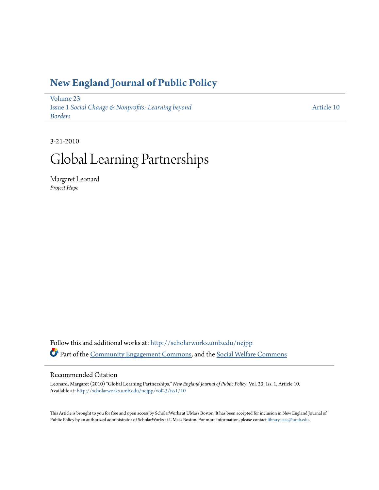## **[New England Journal of Public Policy](http://scholarworks.umb.edu/nejpp?utm_source=scholarworks.umb.edu%2Fnejpp%2Fvol23%2Fiss1%2F10&utm_medium=PDF&utm_campaign=PDFCoverPages)**

[Volume 23](http://scholarworks.umb.edu/nejpp/vol23?utm_source=scholarworks.umb.edu%2Fnejpp%2Fvol23%2Fiss1%2F10&utm_medium=PDF&utm_campaign=PDFCoverPages) Issue 1 *[Social Change & Nonprofits: Learning beyond](http://scholarworks.umb.edu/nejpp/vol23/iss1?utm_source=scholarworks.umb.edu%2Fnejpp%2Fvol23%2Fiss1%2F10&utm_medium=PDF&utm_campaign=PDFCoverPages) [Borders](http://scholarworks.umb.edu/nejpp/vol23/iss1?utm_source=scholarworks.umb.edu%2Fnejpp%2Fvol23%2Fiss1%2F10&utm_medium=PDF&utm_campaign=PDFCoverPages)*

[Article 10](http://scholarworks.umb.edu/nejpp/vol23/iss1/10?utm_source=scholarworks.umb.edu%2Fnejpp%2Fvol23%2Fiss1%2F10&utm_medium=PDF&utm_campaign=PDFCoverPages)

# 3-21-2010 Global Learning Partnerships

Margaret Leonard *Project Hope*

Follow this and additional works at: [http://scholarworks.umb.edu/nejpp](http://scholarworks.umb.edu/nejpp?utm_source=scholarworks.umb.edu%2Fnejpp%2Fvol23%2Fiss1%2F10&utm_medium=PDF&utm_campaign=PDFCoverPages) Part of the [Community Engagement Commons](http://network.bepress.com/hgg/discipline/1028?utm_source=scholarworks.umb.edu%2Fnejpp%2Fvol23%2Fiss1%2F10&utm_medium=PDF&utm_campaign=PDFCoverPages), and the [Social Welfare Commons](http://network.bepress.com/hgg/discipline/401?utm_source=scholarworks.umb.edu%2Fnejpp%2Fvol23%2Fiss1%2F10&utm_medium=PDF&utm_campaign=PDFCoverPages)

#### Recommended Citation

Leonard, Margaret (2010) "Global Learning Partnerships," *New England Journal of Public Policy*: Vol. 23: Iss. 1, Article 10. Available at: [http://scholarworks.umb.edu/nejpp/vol23/iss1/10](http://scholarworks.umb.edu/nejpp/vol23/iss1/10?utm_source=scholarworks.umb.edu%2Fnejpp%2Fvol23%2Fiss1%2F10&utm_medium=PDF&utm_campaign=PDFCoverPages)

This Article is brought to you for free and open access by ScholarWorks at UMass Boston. It has been accepted for inclusion in New England Journal of Public Policy by an authorized administrator of ScholarWorks at UMass Boston. For more information, please contact [library.uasc@umb.edu](mailto:library.uasc@umb.edu).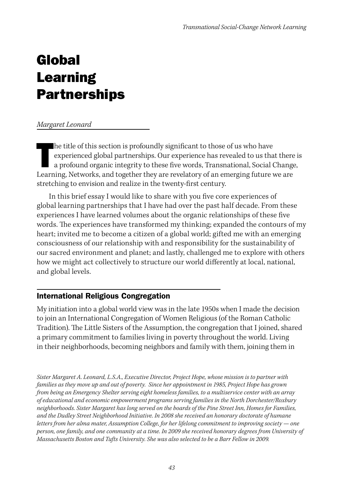# Global Learning **Partnerships**

#### *Margaret Leonard*

In the title of this section is profoundly significant to those of us who have<br>experienced global partnerships. Our experience has revealed to us that there<br>a profound organic integrity to these five words, Transnational, he title of this section is profoundly significant to those of us who have experienced global partnerships. Our experience has revealed to us that there is a profound organic integrity to these five words, Transnational, Social Change, stretching to envision and realize in the twenty-first century.

In this brief essay I would like to share with you five core experiences of global learning partnerships that I have had over the past half decade. From these experiences I have learned volumes about the organic relationships of these five words. The experiences have transformed my thinking; expanded the contours of my heart; invited me to become a citizen of a global world; gifted me with an emerging consciousness of our relationship with and responsibility for the sustainability of our sacred environment and planet; and lastly, challenged me to explore with others how we might act collectively to structure our world differently at local, national, and global levels.

#### International Religious Congregation

My initiation into a global world view was in the late 1950s when I made the decision to join an International Congregation of Women Religious (of the Roman Catholic Tradition). The Little Sisters of the Assumption, the congregation that I joined, shared a primary commitment to families living in poverty throughout the world. Living in their neighborhoods, becoming neighbors and family with them, joining them in

*Sister Margaret A. Leonard, L.S.A., Executive Director, Project Hope, whose mission is to partner with families as they move up and out of poverty. Since her appointment in 1985, Project Hope has grown from being an Emergency Shelter serving eight homeless families, to a multiservice center with an array of educational and economic empowerment programs serving families in the North Dorchester/Roxbury neighborhoods. Sister Margaret has long served on the boards of the Pine Street Inn, Homes for Families, and the Dudley Street Neighborhood Initiative. In 2008 she received an honorary doctorate of humane letters from her alma mater, Assumption College, for her lifelong commitment to improving society — one person, one family, and one community at a time. In 2009 she received honorary degrees from University of Massachusetts Boston and Tufts University. She was also selected to be a Barr Fellow in 2009.*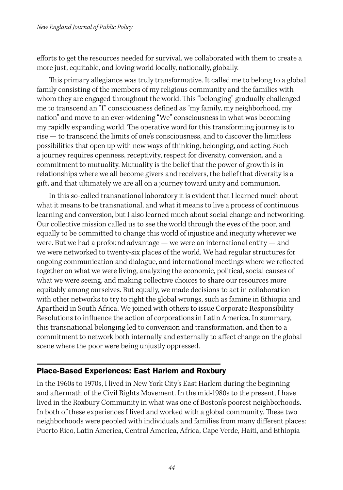efforts to get the resources needed for survival, we collaborated with them to create a more just, equitable, and loving world locally, nationally, globally.

This primary allegiance was truly transformative. It called me to belong to a global family consisting of the members of my religious community and the families with whom they are engaged throughout the world. This "belonging" gradually challenged me to transcend an "I" consciousness defined as "my family, my neighborhood, my nation" and move to an ever-widening "We" consciousness in what was becoming my rapidly expanding world. The operative word for this transforming journey is to rise — to transcend the limits of one's consciousness, and to discover the limitless possibilities that open up with new ways of thinking, belonging, and acting. Such a journey requires openness, receptivity, respect for diversity, conversion, and a commitment to mutuality. Mutuality is the belief that the power of growth is in relationships where we all become givers and receivers, the belief that diversity is a gift, and that ultimately we are all on a journey toward unity and communion.

In this so-called transnational laboratory it is evident that I learned much about what it means to be transnational, and what it means to live a process of continuous learning and conversion, but I also learned much about social change and networking. Our collective mission called us to see the world through the eyes of the poor, and equally to be committed to change this world of injustice and inequity wherever we were. But we had a profound advantage — we were an international entity — and we were networked to twenty-six places of the world. We had regular structures for ongoing communication and dialogue, and international meetings where we reflected together on what we were living, analyzing the economic, political, social causes of what we were seeing, and making collective choices to share our resources more equitably among ourselves. But equally, we made decisions to act in collaboration with other networks to try to right the global wrongs, such as famine in Ethiopia and Apartheid in South Africa. We joined with others to issue Corporate Responsibility Resolutions to influence the action of corporations in Latin America. In summary, this transnational belonging led to conversion and transformation, and then to a commitment to network both internally and externally to affect change on the global scene where the poor were being unjustly oppressed.

#### Place-Based Experiences: East Harlem and Roxbury

In the 1960s to 1970s, I lived in New York City's East Harlem during the beginning and aftermath of the Civil Rights Movement. In the mid-1980s to the present, I have lived in the Roxbury Community in what was one of Boston's poorest neighborhoods. In both of these experiences I lived and worked with a global community. These two neighborhoods were peopled with individuals and families from many different places: Puerto Rico, Latin America, Central America, Africa, Cape Verde, Haiti, and Ethiopia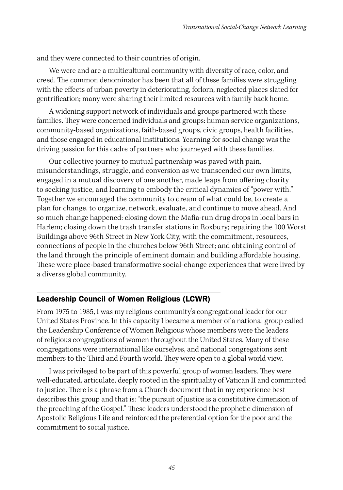and they were connected to their countries of origin.

We were and are a multicultural community with diversity of race, color, and creed. The common denominator has been that all of these families were struggling with the effects of urban poverty in deteriorating, forlorn, neglected places slated for gentrification; many were sharing their limited resources with family back home.

A widening support network of individuals and groups partnered with these families. They were concerned individuals and groups: human service organizations, community-based organizations, faith-based groups, civic groups, health facilities, and those engaged in educational institutions. Yearning for social change was the driving passion for this cadre of partners who journeyed with these families.

Our collective journey to mutual partnership was paved with pain, misunderstandings, struggle, and conversion as we transcended our own limits, engaged in a mutual discovery of one another, made leaps from offering charity to seeking justice, and learning to embody the critical dynamics of "power with." Together we encouraged the community to dream of what could be, to create a plan for change, to organize, network, evaluate, and continue to move ahead. And so much change happened: closing down the Mafia-run drug drops in local bars in Harlem; closing down the trash transfer stations in Roxbury; repairing the 100 Worst Buildings above 96th Street in New York City, with the commitment, resources, connections of people in the churches below 96th Street; and obtaining control of the land through the principle of eminent domain and building affordable housing. These were place-based transformative social-change experiences that were lived by a diverse global community.

### Leadership Council of Women Religious (LCWR)

From 1975 to 1985, I was my religious community's congregational leader for our United States Province. In this capacity I became a member of a national group called the Leadership Conference of Women Religious whose members were the leaders of religious congregations of women throughout the United States. Many of these congregations were international like ourselves, and national congregations sent members to the Third and Fourth world. They were open to a global world view.

I was privileged to be part of this powerful group of women leaders. They were well-educated, articulate, deeply rooted in the spirituality of Vatican II and committed to justice. There is a phrase from a Church document that in my experience best describes this group and that is: "the pursuit of justice is a constitutive dimension of the preaching of the Gospel." These leaders understood the prophetic dimension of Apostolic Religious Life and reinforced the preferential option for the poor and the commitment to social justice.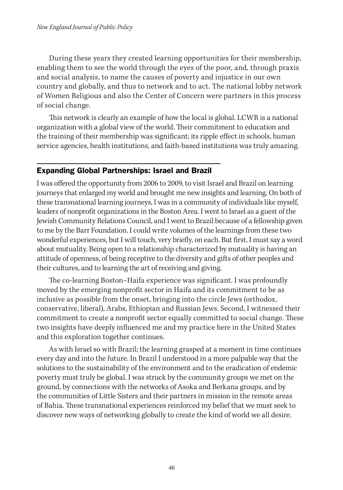During these years they created learning opportunities for their membership, enabling them to see the world through the eyes of the poor, and, through praxis and social analysis, to name the causes of poverty and injustice in our own country and globally, and thus to network and to act. The national lobby network of Women Religious and also the Center of Concern were partners in this process of social change.

This network is clearly an example of how the local is global. LCWR is a national organization with a global view of the world. Their commitment to education and the training of their membership was significant; its ripple effect in schools, human service agencies, health institutions, and faith-based institutions was truly amazing.

#### Expanding Global Partnerships: Israel and Brazil

I was offered the opportunity from 2006 to 2009, to visit Israel and Brazil on learning journeys that enlarged my world and brought me new insights and learning. On both of these transnational learning journeys, I was in a community of individuals like myself, leaders of nonprofit organizations in the Boston Area. I went to Israel as a guest of the Jewish Community Relations Council, and I went to Brazil because of a fellowship given to me by the Barr Foundation. I could write volumes of the learnings from these two wonderful experiences, but I will touch, very briefly, on each. But first, I must say a word about mutuality. Being open to a relationship characterized by mutuality is having an attitude of openness, of being receptive to the diversity and gifts of other peoples and their cultures, and to learning the art of receiving and giving.

The co-learning Boston–Haifa experience was significant. I was profoundly moved by the emerging nonprofit sector in Haifa and its commitment to be as inclusive as possible from the onset, bringing into the circle Jews (orthodox, conservative, liberal), Arabs, Ethiopian and Russian Jews. Second, I witnessed their commitment to create a nonprofit sector equally committed to social change. These two insights have deeply influenced me and my practice here in the United States and this exploration together continues.

As with Israel so with Brazil; the learning grasped at a moment in time continues every day and into the future. In Brazil I understood in a more palpable way that the solutions to the sustainability of the environment and to the eradication of endemic poverty must truly be global. I was struck by the community groups we met on the ground, by connections with the networks of Asoka and Berkana groups, and by the communities of Little Sisters and their partners in mission in the remote areas of Bahia. These transnational experiences reinforced my belief that we must seek to discover new ways of networking globally to create the kind of world we all desire.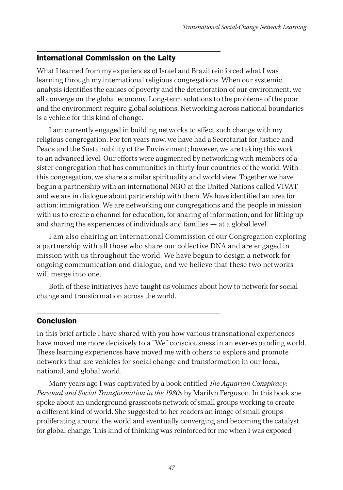### International Commission on the Laity

What I learned from my experiences of Israel and Brazil reinforced what I was learning through my international religious congregations. When our systemic analysis identifies the causes of poverty and the deterioration of our environment, we all converge on the global economy. Long-term solutions to the problems of the poor and the environment require global solutions. Networking across national boundaries is a vehicle for this kind of change.

I am currently engaged in building networks to effect such change with my religious congregation. For ten years now, we have had a Secretariat for Justice and Peace and the Sustainability of the Environment; however, we are taking this work to an advanced level. Our efforts were augmented by networking with members of a sister congregation that has communities in thirty-four countries of the world. With this congregation, we share a similar spirituality and world view. Together we have begun a partnership with an international NGO at the United Nations called VIVAT and we are in dialogue about partnership with them. We have identified an area for action: immigration. We are networking our congregations and the people in mission with us to create a channel for education, for sharing of information, and for lifting up and sharing the experiences of individuals and families — at a global level.

I am also chairing an International Commission of our Congregation exploring a partnership with all those who share our collective DNA and are engaged in mission with us throughout the world. We have begun to design a network for ongoing communication and dialogue, and we believe that these two networks will merge into one.

Both of these initiatives have taught us volumes about how to network for social change and transformation across the world.

#### **Conclusion**

In this brief article I have shared with you how various transnational experiences have moved me more decisively to a "We" consciousness in an ever-expanding world. These learning experiences have moved me with others to explore and promote networks that are vehicles for social change and transformation in our local, national, and global world.

Many years ago I was captivated by a book entitled *The Aquarian Conspiracy: Personal and Social Transformation in the 1980s* by Marilyn Ferguson. In this book she spoke about an underground grassroots network of small groups working to create a different kind of world. She suggested to her readers an image of small groups proliferating around the world and eventually converging and becoming the catalyst for global change. This kind of thinking was reinforced for me when I was exposed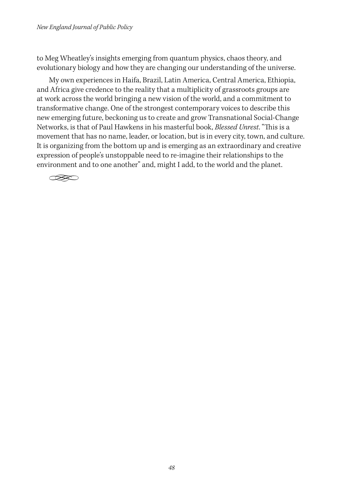to Meg Wheatley's insights emerging from quantum physics, chaos theory, and evolutionary biology and how they are changing our understanding of the universe.

My own experiences in Haifa, Brazil, Latin America, Central America, Ethiopia, and Africa give credence to the reality that a multiplicity of grassroots groups are at work across the world bringing a new vision of the world, and a commitment to transformative change. One of the strongest contemporary voices to describe this new emerging future, beckoning us to create and grow Transnational Social-Change Networks, is that of Paul Hawkens in his masterful book, *Blessed Unrest*. "This is a movement that has no name, leader, or location, but is in every city, town, and culture. It is organizing from the bottom up and is emerging as an extraordinary and creative expression of people's unstoppable need to re-imagine their relationships to the environment and to one another" and, might I add, to the world and the planet.